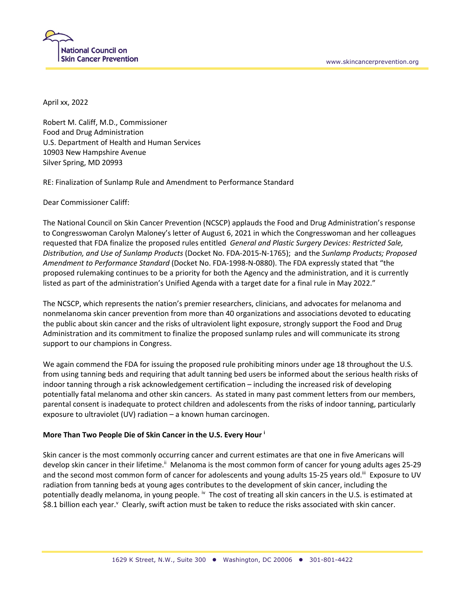

April xx, 2022

Robert M. Califf, M.D., Commissioner Food and Drug Administration U.S. Department of Health and Human Services 10903 New Hampshire Avenue Silver Spring, MD 20993

RE: Finalization of Sunlamp Rule and Amendment to Performance Standard

Dear Commissioner Califf:

The National Council on Skin Cancer Prevention (NCSCP) applauds the Food and Drug Administration's response to Congresswoman Carolyn Maloney's letter of August 6, 2021 in which the Congresswoman and her colleagues requested that FDA finalize the proposed rules entitled *General and Plastic Surgery Devices: Restricted Sale, Distribution, and Use of Sunlamp Products* (Docket No. FDA-2015-N-1765); and the *Sunlamp Products; Proposed Amendment to Performance Standard* (Docket No. FDA-1998-N-0880). The FDA expressly stated that "the proposed rulemaking continues to be a priority for both the Agency and the administration, and it is currently listed as part of the administration's Unified Agenda with a target date for a final rule in May 2022."

The NCSCP, which represents the nation's premier researchers, clinicians, and advocates for melanoma and nonmelanoma skin cancer prevention from more than 40 organizations and associations devoted to educating the public about skin cancer and the risks of ultraviolent light exposure, strongly support the Food and Drug Administration and its commitment to finalize the proposed sunlamp rules and will communicate its strong support to our champions in Congress.

We again commend the FDA for issuing the proposed rule prohibiting minors under age 18 throughout the U.S. from using tanning beds and requiring that adult tanning bed users be informed about the serious health risks of indoor tanning through a risk acknowledgement certification – including the increased risk of developing potentially fatal melanoma and other skin cancers. As stated in many past comment letters from our members, parental consent is inadequate to protect children and adolescents from the risks of indoor tanning, particularly exposure to ultraviolet (UV) radiation – a known human carcinogen.

## **More Than Two People Die of Skin Cancer in the U.S. Every Hour <sup>i</sup>**

Skin cancer is the most commonly occurring cancer and current estimates are that one in five Americans will develop skin cancer in their lifetime.<sup>ii</sup> Melanoma is the most common form of cancer for young adults ages 25-29 and the second most common form of cancer for adolescents and young adults 15-25 years old.<sup>iii</sup> Exposure to UV radiation from tanning beds at young ages contributes to the development of skin cancer, including the potentially deadly melanoma, in young people. <sup>iv</sup> The cost of treating all skin cancers in the U.S. is estimated at \$8.1 billion each year.<sup>v</sup> Clearly, swift action must be taken to reduce the risks associated with skin cancer.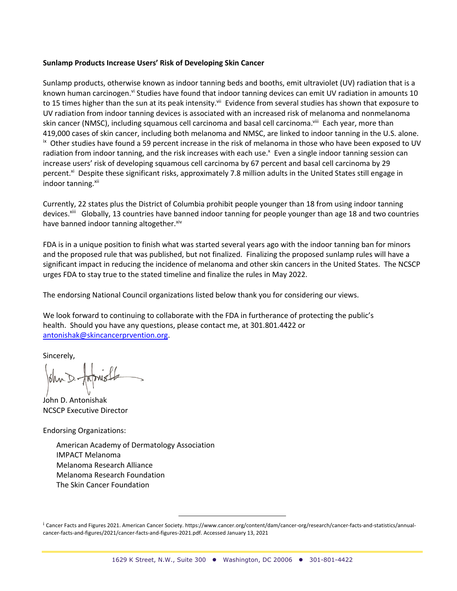## **Sunlamp Products Increase Users' Risk of Developing Skin Cancer**

Sunlamp products, otherwise known as indoor tanning beds and booths, emit ultraviolet (UV) radiation that is a known human carcinogen.<sup>vi</sup> Studies have found that indoor tanning devices can emit UV radiation in amounts 10 to 15 times higher than the sun at its peak intensity.<sup>vii</sup> Evidence from several studies has shown that exposure to UV radiation from indoor tanning devices is associated with an increased risk of melanoma and nonmelanoma skin cancer (NMSC), including squamous cell carcinoma and basal cell carcinoma.<sup>viii</sup> Each year, more than 419,000 cases of skin cancer, including both melanoma and NMSC, are linked to indoor tanning in the U.S. alone.  $i<sub>x</sub>$  Other studies have found a 59 percent increase in the risk of melanoma in those who have been exposed to UV radiation from indoor tanning, and the risk increases with each use.<sup>x</sup> Even a single indoor tanning session can increase users' risk of developing squamous cell carcinoma by 67 percent and basal cell carcinoma by 29 percent.<sup>xi</sup> Despite these significant risks, approximately 7.8 million adults in the United States still engage in indoor tanning.xii

Currently, 22 states plus the District of Columbia prohibit people younger than 18 from using indoor tanning devices.xiii Globally, 13 countries have banned indoor tanning for people younger than age 18 and two countries have banned indoor tanning altogether. xiv

FDA is in a unique position to finish what was started several years ago with the indoor tanning ban for minors and the proposed rule that was published, but not finalized. Finalizing the proposed sunlamp rules will have a significant impact in reducing the incidence of melanoma and other skin cancers in the United States. The NCSCP urges FDA to stay true to the stated timeline and finalize the rules in May 2022.

The endorsing National Council organizations listed below thank you for considering our views.

We look forward to continuing to collaborate with the FDA in furtherance of protecting the public's health. Should you have any questions, please contact me, at 301.801.4422 or antonishak@skincancerprvention.org.

Sincerely,

John D. Antonishak NCSCP Executive Director

Endorsing Organizations:

American Academy of Dermatology Association IMPACT Melanoma Melanoma Research Alliance Melanoma Research Foundation The Skin Cancer Foundation

<sup>&</sup>lt;sup>i</sup> Cancer Facts and Figures 2021. American Cancer Society. https://www.cancer.org/content/dam/cancer-org/research/cancer-facts-and-statistics/annualcancer-facts-and-figures/2021/cancer-facts-and-figures-2021.pdf. Accessed January 13, 2021